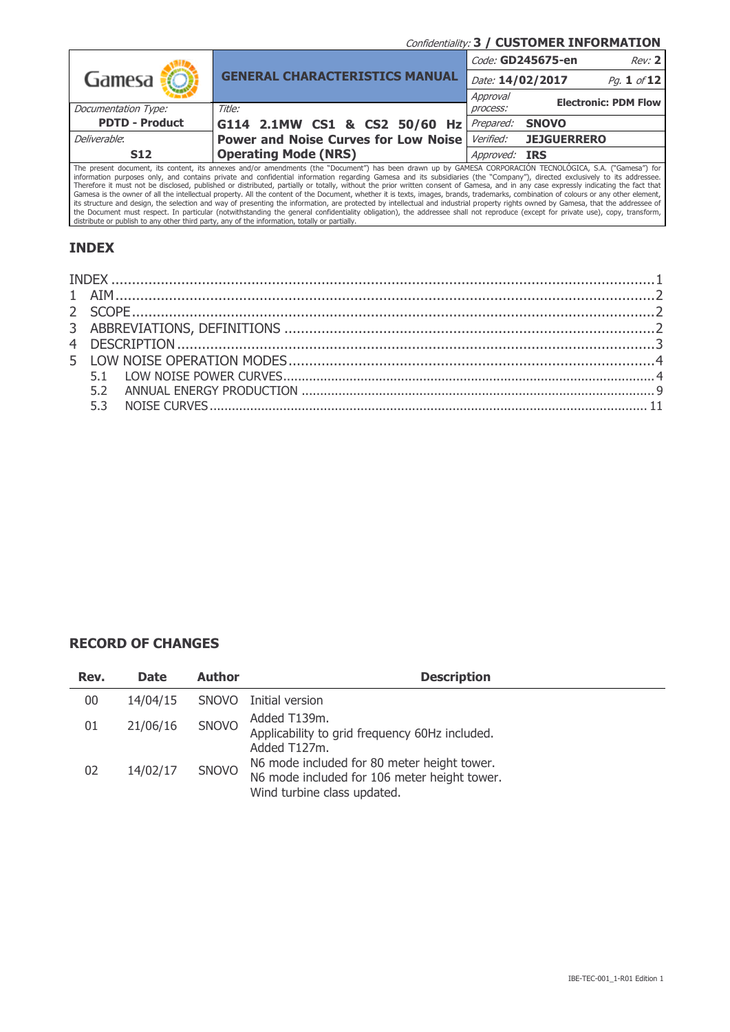Confidentiality: **3 / CUSTOMER INFORMATION**

|                                                                                                                                                         |                                             |                  | Code: GD245675-en<br>Rev: 2 |  |  |  |
|---------------------------------------------------------------------------------------------------------------------------------------------------------|---------------------------------------------|------------------|-----------------------------|--|--|--|
| Gamesa <b>:</b>                                                                                                                                         | <b>GENERAL CHARACTERISTICS MANUAL</b>       | Date: 14/02/2017 | Pg. 1 of 12                 |  |  |  |
|                                                                                                                                                         |                                             | Approval         | <b>Electronic: PDM Flow</b> |  |  |  |
| Documentation Type:                                                                                                                                     | Title:                                      | process:         |                             |  |  |  |
| <b>PDTD - Product</b>                                                                                                                                   | G114 2.1MW CS1 & CS2 50/60 Hz               | Prepared:        | <b>SNOVO</b>                |  |  |  |
| Deliverable:                                                                                                                                            | <b>Power and Noise Curves for Low Noise</b> | <i>Verified:</i> | <b>JEJGUERRERO</b>          |  |  |  |
| <b>S12</b>                                                                                                                                              | <b>Operating Mode (NRS)</b>                 | Approved: IRS    |                             |  |  |  |
| The necessit desiment its centert its procuse and/or amondments (the "Desiment") has been droven up by CAMECA CODDODACION TECNOLOCICA CA ("Comess") for |                                             |                  |                             |  |  |  |

The present document, its content, its annexes and/or amendments (the "Document") has been drawn up by GAMESA CORPORACION TECNOLOGICA, S.A. ("Gamesa") for information purposes only, and contains private and confidential in the Document must respect. In particular (notwithstanding the general confidentiality obligation), the addressee shall not reproduce (except for private use), copy, transform,<br>distribute or publish to any other third party

## <span id="page-0-0"></span>**INDEX**

#### **RECORD OF CHANGES**

| Rev. | <b>Date</b> | <b>Author</b> | <b>Description</b>                                                                                                         |
|------|-------------|---------------|----------------------------------------------------------------------------------------------------------------------------|
| 00   | 14/04/15    | <b>SNOVO</b>  | Initial version                                                                                                            |
| 01   | 21/06/16    | <b>SNOVO</b>  | Added T139m.<br>Applicability to grid frequency 60Hz included.<br>Added T127m.                                             |
| 02   | 14/02/17    | <b>SNOVO</b>  | N6 mode included for 80 meter height tower.<br>N6 mode included for 106 meter height tower.<br>Wind turbine class updated. |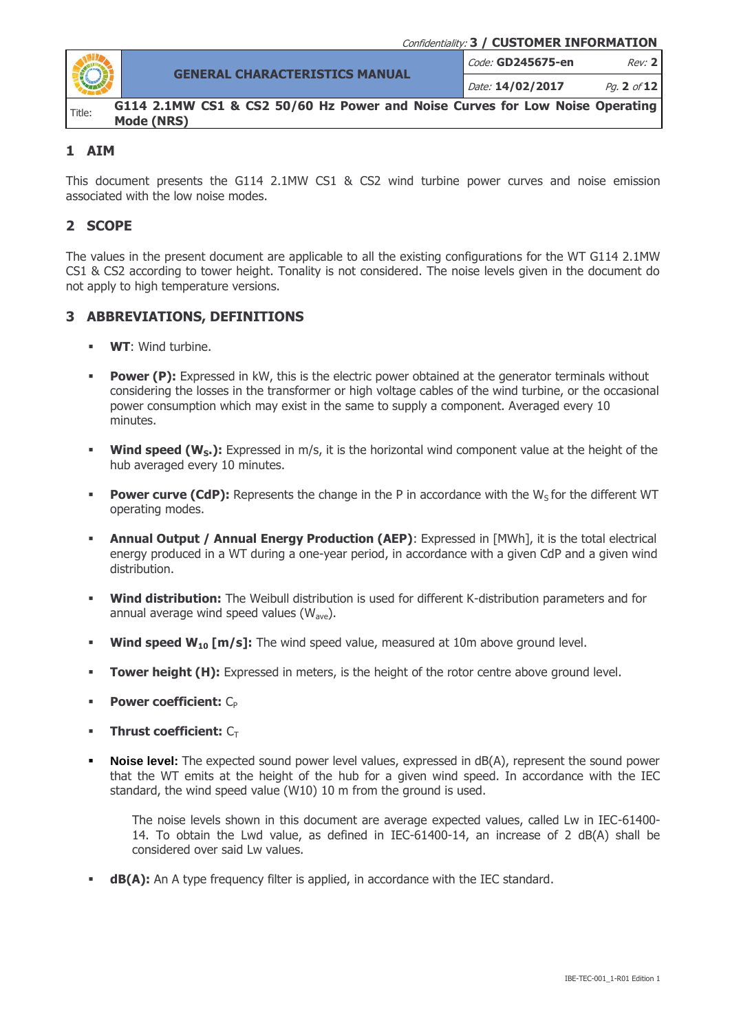

**GENERAL CHARACTERISTICS MANUAL**

Code: **GD245675-en** Rev: **2**

Date: **14/02/2017** Pg. **2** of **12**

**G114 2.1MW CS1 & CS2 50/60 Hz Power and Noise Curves for Low Noise Operating Mode (NRS)**

## <span id="page-1-0"></span>**1 AIM**

This document presents the G114 2.1MW CS1 & CS2 wind turbine power curves and noise emission associated with the low noise modes.

## <span id="page-1-1"></span>**2 SCOPE**

The values in the present document are applicable to all the existing configurations for the WT G114 2.1MW CS1 & CS2 according to tower height. Tonality is not considered. The noise levels given in the document do not apply to high temperature versions.

## <span id="page-1-2"></span>**3 ABBREVIATIONS, DEFINITIONS**

- **WT**: Wind turbine.
- **Power (P):** Expressed in kW, this is the electric power obtained at the generator terminals without considering the losses in the transformer or high voltage cables of the wind turbine, or the occasional power consumption which may exist in the same to supply a component. Averaged every 10 minutes.
- **Wind speed (W<sub>S</sub>.):** Expressed in m/s, it is the horizontal wind component value at the height of the hub averaged every 10 minutes.
- **Power curve (CdP):** Represents the change in the P in accordance with the W<sub>s</sub> for the different WT operating modes.
- **Annual Output / Annual Energy Production (AEP):** Expressed in [MWh], it is the total electrical energy produced in a WT during a one-year period, in accordance with a given CdP and a given wind distribution.
- **Wind distribution:** The Weibull distribution is used for different K-distribution parameters and for annual average wind speed values  $(W_{ave})$ .
- **Wind speed W<sub>10</sub> [m/s]:** The wind speed value, measured at 10m above ground level.
- **Tower height (H):** Expressed in meters, is the height of the rotor centre above ground level.
- **Power coefficient:** C<sub>P</sub>
- **Thrust coefficient:** C<sub>T</sub>
- **Noise level:** The expected sound power level values, expressed in dB(A), represent the sound power that the WT emits at the height of the hub for a given wind speed. In accordance with the IEC standard, the wind speed value (W10) 10 m from the ground is used.

The noise levels shown in this document are average expected values, called Lw in IEC-61400- 14. To obtain the Lwd value, as defined in IEC-61400-14, an increase of 2 dB(A) shall be considered over said Lw values.

**dB(A):** An A type frequency filter is applied, in accordance with the IEC standard.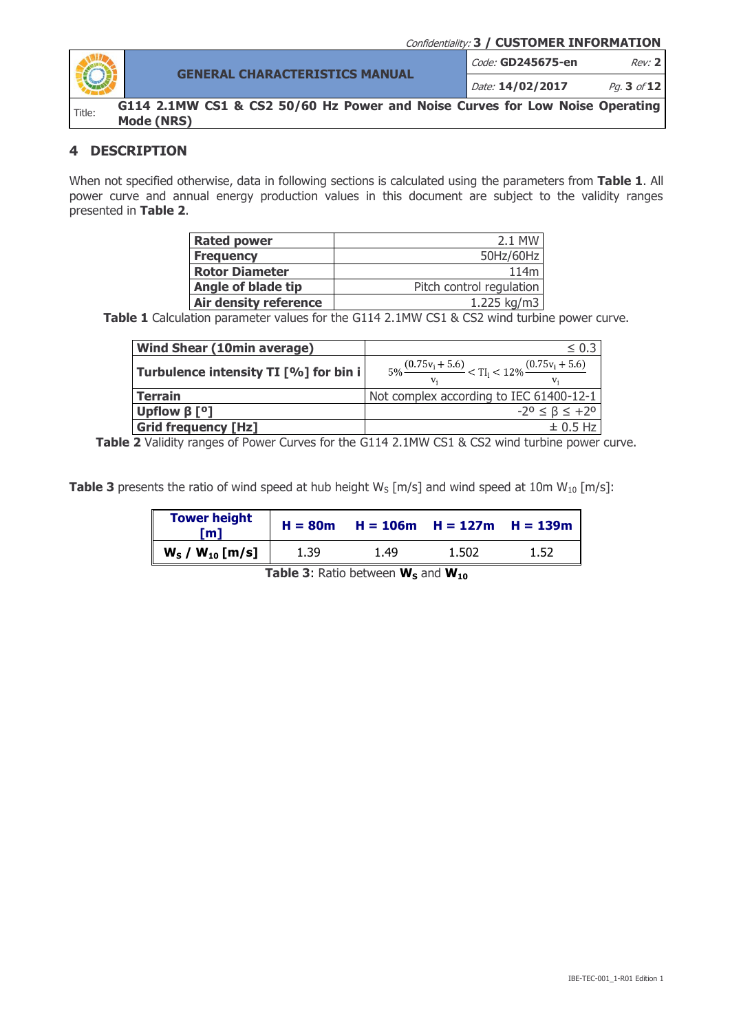

**GENERAL CHARACTERISTICS MANUAL**

Code: **GD245675-en** Rev: **2**

Date: **14/02/2017** Pg. **3** of **12**

**G114 2.1MW CS1 & CS2 50/60 Hz Power and Noise Curves for Low Noise Operating Mode (NRS)**

# <span id="page-2-0"></span>**4 DESCRIPTION**

When not specified otherwise, data in following sections is calculated using the parameters from **Table 1**. All power curve and annual energy production values in this document are subject to the validity ranges presented in **Table 2**.

| <b>Rated power</b>           | 2.1 MW                   |
|------------------------------|--------------------------|
| <b>Frequency</b>             | 50Hz/60Hz                |
| <b>Rotor Diameter</b>        | 114m                     |
| Angle of blade tip           | Pitch control regulation |
| <b>Air density reference</b> | 1.225 kg/m3              |

Table 1 Calculation parameter values for the G114 2.1MW CS1 & CS2 wind turbine power curve.

| <b>Wind Shear (10min average)</b>     | $\leq 0.3$                                                               |
|---------------------------------------|--------------------------------------------------------------------------|
| Turbulence intensity TI [%] for bin i | $5\% \frac{(0.75v_i + 5.6)}{v} < T I_i < 12\% \frac{(0.75v_i + 5.6)}{v}$ |
| <b>Terrain</b>                        | Not complex according to IEC 61400-12-1                                  |
| Upflow $\beta$ [ <sup>o</sup> ]       | $-2^0 \leq \beta \leq +2^0$                                              |
| <b>Grid frequency [Hz]</b>            | $\pm$ 0.5 Hz                                                             |

Table 2 Validity ranges of Power Curves for the G114 2.1MW CS1 & CS2 wind turbine power curve.

**Table 3** presents the ratio of wind speed at hub height  $W_s$  [m/s] and wind speed at 10m  $W_{10}$  [m/s]:

| <b>Tower height</b><br>ml | $H = 80m$ |      | $H = 106m$ $H = 127m$ $H = 139m$ |      |
|---------------------------|-----------|------|----------------------------------|------|
| $W_S / W_{10}$ [m/s]      | 1.39      | 1.49 | 1.502                            | 1.52 |

**Table 3:** Ratio between **W**<sub>S</sub> and **W**<sub>10</sub>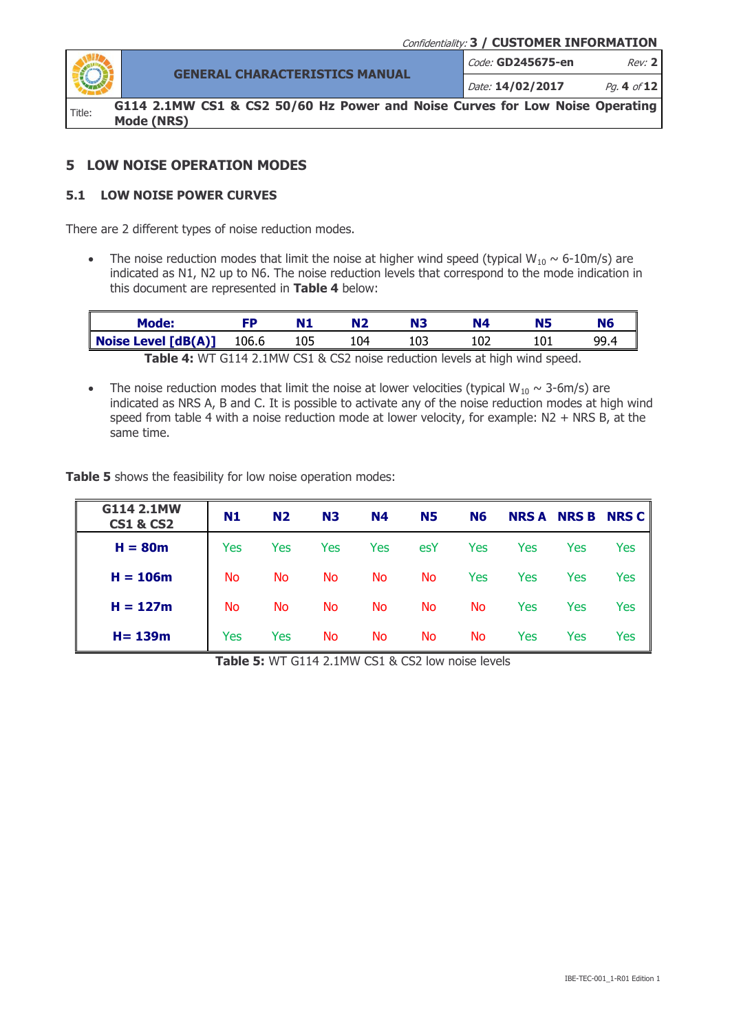

**GENERAL CHARACTERISTICS MANUAL** Code: **GD245675-en** Rev: **2** Date: **14/02/2017** Pg. **4** of **12**

**G114 2.1MW CS1 & CS2 50/60 Hz Power and Noise Curves for Low Noise Operating Mode (NRS)**

### <span id="page-3-1"></span><span id="page-3-0"></span>**5 LOW NOISE OPERATION MODES**

#### **5.1 LOW NOISE POWER CURVES**

There are 2 different types of noise reduction modes.

• The noise reduction modes that limit the noise at higher wind speed (typical  $W_{10} \sim 6{\text -}10\text{m/s}$ ) are indicated as N1, N2 up to N6. The noise reduction levels that correspond to the mode indication in this document are represented in **Table 4** below:

| Mode:                                                                              |     |     |     |      |
|------------------------------------------------------------------------------------|-----|-----|-----|------|
| <b>Noise Level <math>[dB(A)]</math></b> 106.6                                      | 105 | 104 | 102 | 99 4 |
| <b>Table 4: WT C114 0 1MM CC1 0 CC0</b> notes useful the loyals of bigh wind speed |     |     |     |      |

**Table 4:** WT G114 2.1MW CS1 & CS2 noise reduction levels at high wind speed.

• The noise reduction modes that limit the noise at lower velocities (typical  $W_{10} \sim 3-6$ m/s) are indicated as NRS A, B and C. It is possible to activate any of the noise reduction modes at high wind speed from table 4 with a noise reduction mode at lower velocity, for example: N2 + NRS B, at the same time.

**Table 5** shows the feasibility for low noise operation modes:

| G114 2.1MW<br><b>CS1 &amp; CS2</b> | N1  | <b>N2</b> | <b>N3</b> | N4        | <b>N5</b> | <b>N6</b> | <b>NRS A</b> |     | <b>NRS B NRS C</b> |
|------------------------------------|-----|-----------|-----------|-----------|-----------|-----------|--------------|-----|--------------------|
| $H = 80m$                          | Yes | Yes       | Yes       | Yes       | esY       | Yes       | Yes          | Yes | Yes                |
| $H = 106m$                         | No  | No        | <b>No</b> | No.       | No        | Yes       | Yes          | Yes | Yes                |
| $H = 127m$                         | No  | No.       | No        | No.       | No        | <b>No</b> | Yes          | Yes | Yes                |
| $H = 139m$                         | Yes | Yes       | Νo        | <b>No</b> | No        | <b>No</b> | Yes          | Yes | Yes                |

**Table 5:** WT G114 2.1MW CS1 & CS2 low noise levels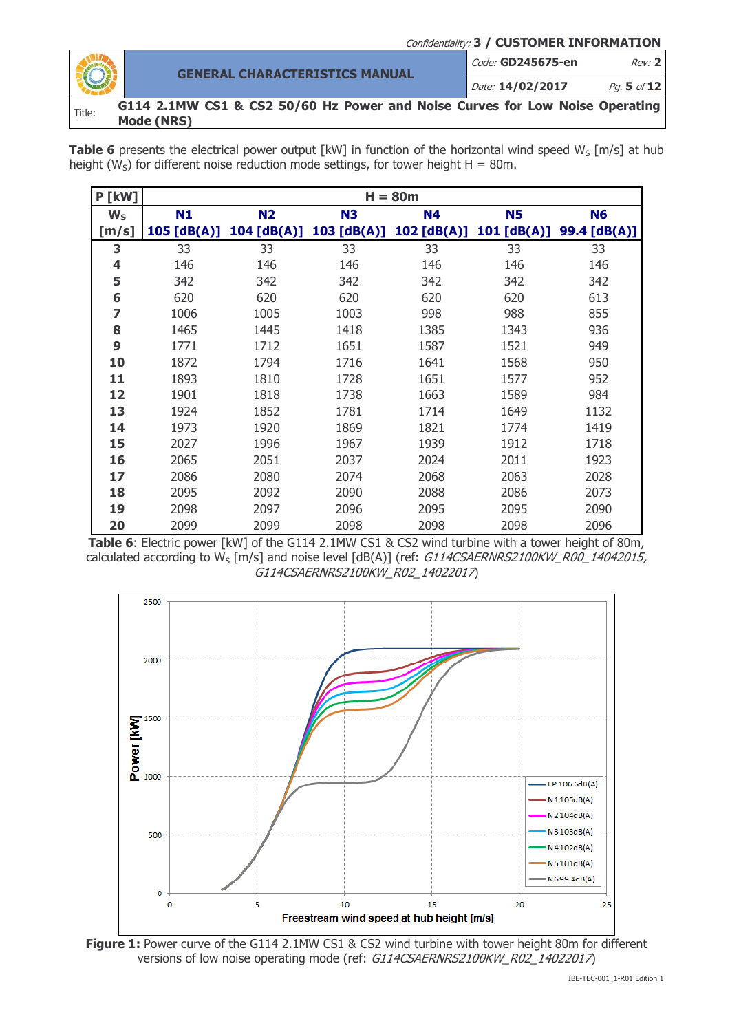Confidentiality: **3 / CUSTOMER INFORMATION GENERAL CHARACTERISTICS MANUAL** Code: **GD245675-en** Rev: **2** Date: **14/02/2017** Pg. **5** of **12 G114 2.1MW CS1 & CS2 50/60 Hz Power and Noise Curves for Low Noise Operating Mode (NRS)**

**Table 6** presents the electrical power output  $\lceil kW \rceil$  in function of the horizontal wind speed  $W_S \lceil m/s \rceil$  at hub height (W<sub>S</sub>) for different noise reduction mode settings, for tower height  $H = 80$ m.

| <b>P [kW]</b> | $H = 80m$     |             |                |           |                         |                |  |  |
|---------------|---------------|-------------|----------------|-----------|-------------------------|----------------|--|--|
| $W_{S}$       | N1            | <b>N2</b>   | N <sub>3</sub> | <b>N4</b> | <b>N5</b>               | N <sub>6</sub> |  |  |
| [m/s]         | $105$ [dB(A)] | 104 [dB(A)] | 103 [dB(A)]    |           | 102 [dB(A)] 101 [dB(A)] | 99.4 [dB(A)]   |  |  |
| 3             | 33            | 33          | 33             | 33        | 33                      | 33             |  |  |
| 4             | 146           | 146         | 146            | 146       | 146                     | 146            |  |  |
| 5             | 342           | 342         | 342            | 342       | 342                     | 342            |  |  |
| 6             | 620           | 620         | 620            | 620       | 620                     | 613            |  |  |
| 7             | 1006          | 1005        | 1003           | 998       | 988                     | 855            |  |  |
| 8             | 1465          | 1445        | 1418           | 1385      | 1343                    | 936            |  |  |
| 9             | 1771          | 1712        | 1651           | 1587      | 1521                    | 949            |  |  |
| 10            | 1872          | 1794        | 1716           | 1641      | 1568                    | 950            |  |  |
| 11            | 1893          | 1810        | 1728           | 1651      | 1577                    | 952            |  |  |
| 12            | 1901          | 1818        | 1738           | 1663      | 1589                    | 984            |  |  |
| 13            | 1924          | 1852        | 1781           | 1714      | 1649                    | 1132           |  |  |
| 14            | 1973          | 1920        | 1869           | 1821      | 1774                    | 1419           |  |  |
| 15            | 2027          | 1996        | 1967           | 1939      | 1912                    | 1718           |  |  |
| 16            | 2065          | 2051        | 2037           | 2024      | 2011                    | 1923           |  |  |
| 17            | 2086          | 2080        | 2074           | 2068      | 2063                    | 2028           |  |  |
| 18            | 2095          | 2092        | 2090           | 2088      | 2086                    | 2073           |  |  |
| 19            | 2098          | 2097        | 2096           | 2095      | 2095                    | 2090           |  |  |
| 20            | 2099          | 2099        | 2098           | 2098      | 2098                    | 2096           |  |  |

**Table 6**: Electric power [kW] of the G114 2.1MW CS1 & CS2 wind turbine with a tower height of 80m, calculated according to W<sub>S</sub> [m/s] and noise level [dB(A)] (ref: G114CSAERNRS2100KW\_R00\_14042015, G114CSAERNRS2100KW\_R02\_14022017)



**Figure 1:** Power curve of the G114 2.1MW CS1 & CS2 wind turbine with tower height 80m for different versions of low noise operating mode (ref: G114CSAERNRS2100KW\_R02\_14022017)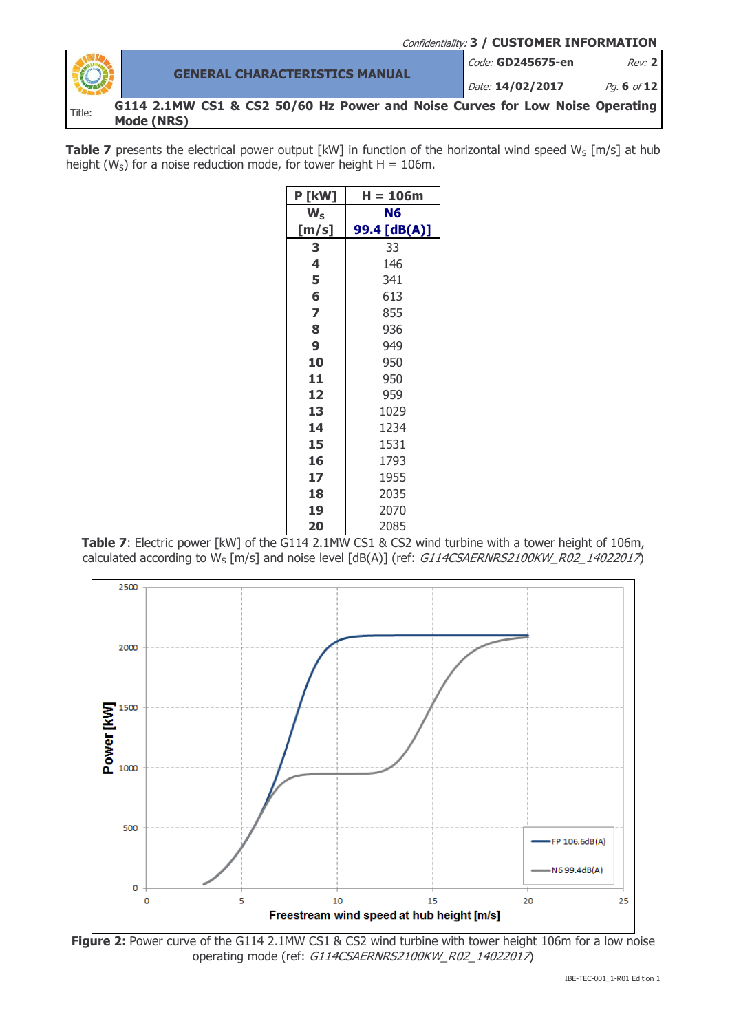Confidentiality: **3 / CUSTOMER INFORMATION**

|        | <b>GENERAL CHARACTERISTICS MANUAL</b>                                                      | Code: GD245675-en | Rev: 2      |
|--------|--------------------------------------------------------------------------------------------|-------------------|-------------|
| O      |                                                                                            | Date: 14/02/2017  | Pa. 6 of 12 |
| Title: | G114 2.1MW CS1 & CS2 50/60 Hz Power and Noise Curves for Low Noise Operating<br>Mode (NRS) |                   |             |

Table 7 presents the electrical power output [kW] in function of the horizontal wind speed W<sub>S</sub> [m/s] at hub height (W<sub>S</sub>) for a noise reduction mode, for tower height  $H = 106$ m.

| <b>P [kW]</b> | H = 106m     |
|---------------|--------------|
| $W_{S}$       | Ν6           |
| [m/s]         | 99.4 [dB(A)] |
| 3             | 33           |
| 4             | 146          |
| 5             | 341          |
| 6             | 613          |
| 7             | 855          |
| 8             | 936          |
| 9             | 949          |
| 10            | 950          |
| 11            | 950          |
| 12            | 959          |
| 13            | 1029         |
| 14            | 1234         |
| 15            | 1531         |
| 16            | 1793         |
| 17            | 1955         |
| 18            | 2035         |
| 19            | 2070         |
| 20            | 2085         |

**Table 7**: Electric power [kW] of the G114 2.1MW CS1 & CS2 wind turbine with a tower height of 106m, calculated according to  $W_S$  [m/s] and noise level [dB(A)] (ref: G114CSAERNRS2100KW\_R02\_14022017)



**Figure 2:** Power curve of the G114 2.1MW CS1 & CS2 wind turbine with tower height 106m for a low noise operating mode (ref: G114CSAERNRS2100KW\_R02\_14022017)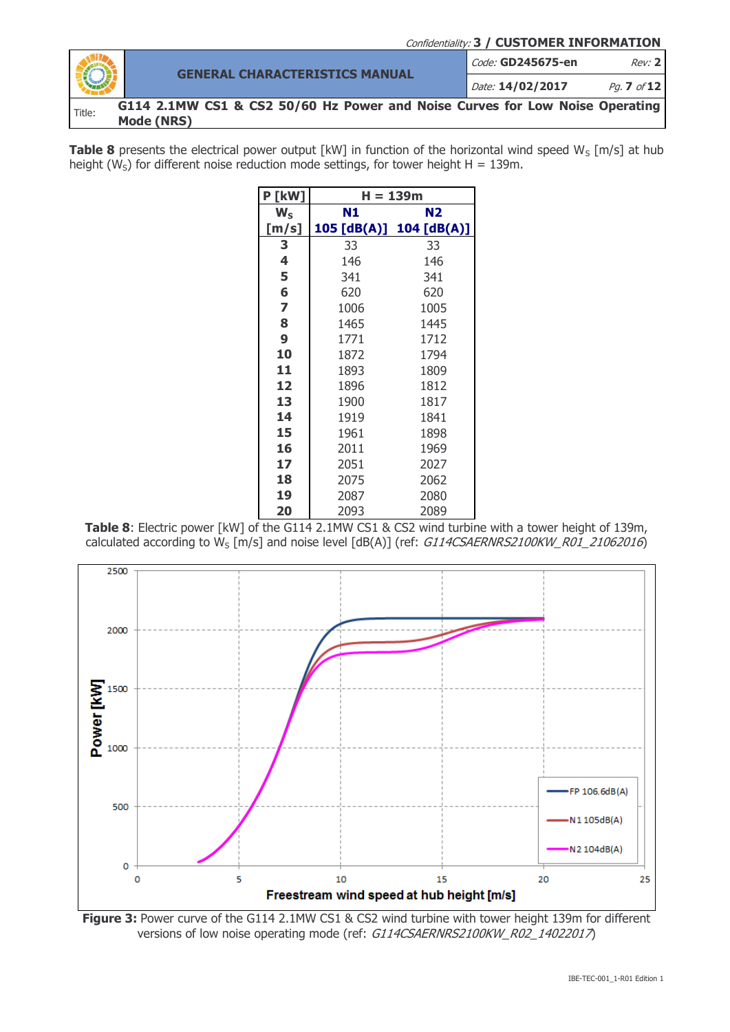Confidentiality: **3 / CUSTOMER INFORMATION GENERAL CHARACTERISTICS MANUAL** Code: **GD245675-en** Rev: **2** Date: **14/02/2017** Pg. **7** of **12 G114 2.1MW CS1 & CS2 50/60 Hz Power and Noise Curves for Low Noise Operating Mode (NRS)**

**Table 8** presents the electrical power output  $\lceil kW \rceil$  in function of the horizontal wind speed  $W_S \lceil m/s \rceil$  at hub height (W<sub>S</sub>) for different noise reduction mode settings, for tower height H = 139m.

| P [kW] | H = 139m    |             |  |  |  |
|--------|-------------|-------------|--|--|--|
| $W_S$  | N1          | N2.         |  |  |  |
| [m/s]  | 105 [dB(A)] | 104 [dB(A)] |  |  |  |
| 3      | 33          | 33          |  |  |  |
| 4      | 146         | 146         |  |  |  |
| 5      | 341         | 341         |  |  |  |
| 6      | 620         | 620         |  |  |  |
| 7      | 1006        | 1005        |  |  |  |
| 8      | 1465        | 1445        |  |  |  |
| 9      | 1771        | 1712        |  |  |  |
| 10     | 1872        | 1794        |  |  |  |
| 11     | 1893        | 1809        |  |  |  |
| 12     | 1896        | 1812        |  |  |  |
| 13     | 1900        | 1817        |  |  |  |
| 14     | 1919        | 1841        |  |  |  |
| 15     | 1961        | 1898        |  |  |  |
| 16     | 2011        | 1969        |  |  |  |
| 17     | 2051        | 2027        |  |  |  |
| 18     | 2075        | 2062        |  |  |  |
| 19     | 2087        | 2080        |  |  |  |
| 20     | 2093        | 2089        |  |  |  |

**Table 8**: Electric power [kW] of the G114 2.1MW CS1 & CS2 wind turbine with a tower height of 139m, calculated according to W<sub>S</sub> [m/s] and noise level [dB(A)] (ref: G114CSAERNRS2100KW\_R01\_21062016)



**Figure 3:** Power curve of the G114 2.1MW CS1 & CS2 wind turbine with tower height 139m for different versions of low noise operating mode (ref: G114CSAERNRS2100KW\_R02\_14022017)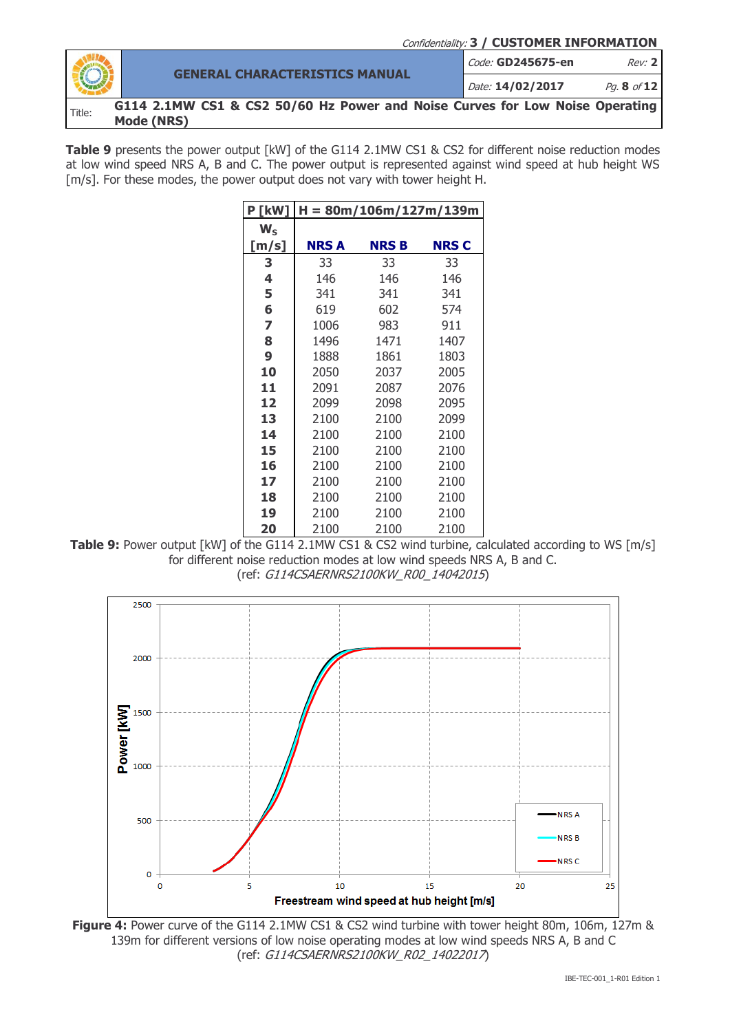

**Table 9** presents the power output [kW] of the G114 2.1MW CS1 & CS2 for different noise reduction modes at low wind speed NRS A, B and C. The power output is represented against wind speed at hub height WS [m/s]. For these modes, the power output does not vary with tower height H.

| <b>P [kW]</b> | $H = 80m/106m/127m/139m$ |             |             |  |  |  |
|---------------|--------------------------|-------------|-------------|--|--|--|
| $W_{S}$       |                          |             |             |  |  |  |
| [m/s]         | NRS A                    | <b>NRSB</b> | <b>NRSC</b> |  |  |  |
| 3             | 33                       | 33          | 33          |  |  |  |
| 4             | 146                      | 146         | 146         |  |  |  |
| 5             | 341                      | 341         | 341         |  |  |  |
| 6             | 619                      | 602         | 574         |  |  |  |
| 7             | 1006                     | 983         | 911         |  |  |  |
| 8             | 1496                     | 1471        | 1407        |  |  |  |
| 9             | 1888                     | 1861        | 1803        |  |  |  |
| 10            | 2050                     | 2037        | 2005        |  |  |  |
| 11            | 2091                     | 2087        | 2076        |  |  |  |
| 12            | 2099                     | 2098        | 2095        |  |  |  |
| 13            | 2100                     | 2100        | 2099        |  |  |  |
| 14            | 2100                     | 2100        | 2100        |  |  |  |
| 15            | 2100                     | 2100        | 2100        |  |  |  |
| 16            | 2100                     | 2100        | 2100        |  |  |  |
| 17            | 2100                     | 2100        | 2100        |  |  |  |
| 18            | 2100                     | 2100        | 2100        |  |  |  |
| 19            | 2100                     | 2100        | 2100        |  |  |  |
| 20            | 2100                     | 2100        | 2100        |  |  |  |

**Table 9:** Power output [kW] of the G114 2.1MW CS1 & CS2 wind turbine, calculated according to WS [m/s] for different noise reduction modes at low wind speeds NRS A, B and C. (ref: G114CSAERNRS2100KW\_R00\_14042015)



**Figure 4:** Power curve of the G114 2.1MW CS1 & CS2 wind turbine with tower height 80m, 106m, 127m & 139m for different versions of low noise operating modes at low wind speeds NRS A, B and C (ref: G114CSAERNRS2100KW\_R02\_14022017)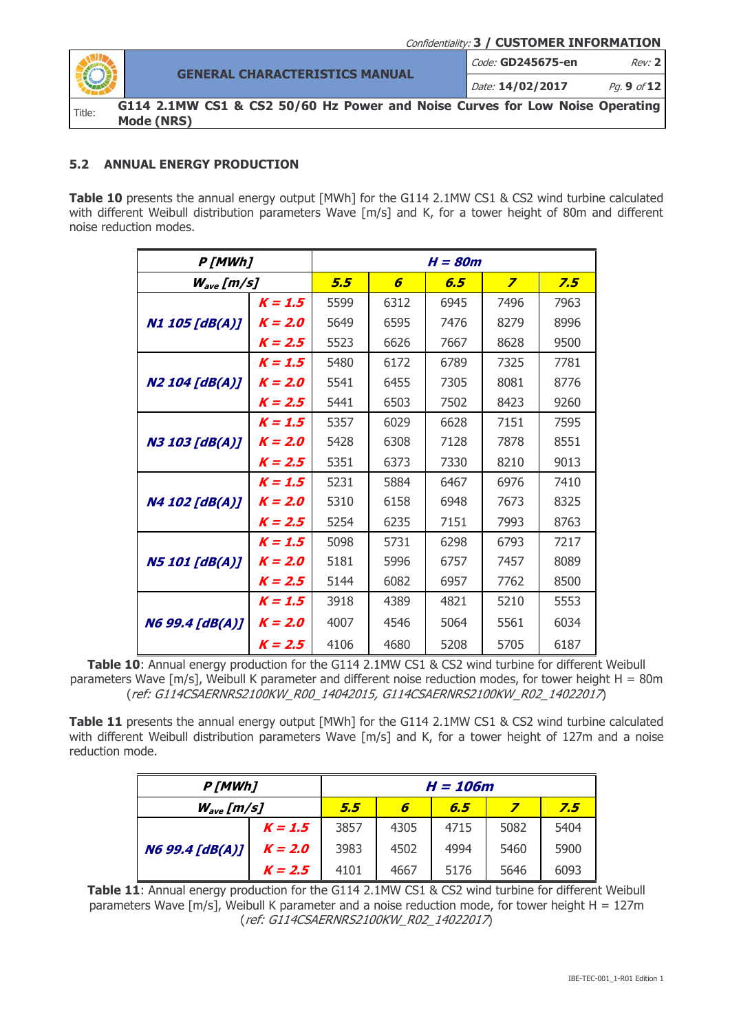

**GENERAL CHARACTERISTICS MANUAL** Code: **GD245675-en** Rev: **2** Date: **14/02/2017** Pg. **9** of **12**

**G114 2.1MW CS1 & CS2 50/60 Hz Power and Noise Curves for Low Noise Operating Mode (NRS)**

## <span id="page-8-0"></span>**5.2 ANNUAL ENERGY PRODUCTION**

**Table 10** presents the annual energy output [MWh] for the G114 2.1MW CS1 & CS2 wind turbine calculated with different Weibull distribution parameters Wave [m/s] and K, for a tower height of 80m and different noise reduction modes.

|                        | P[MWh]    |      |      | $H = 80m$ |                         |      |
|------------------------|-----------|------|------|-----------|-------------------------|------|
| $W_{\rm ave}$ [m/s]    |           | 5.5  | 6    | 6.5       | $\overline{\mathbf{z}}$ | 7.5  |
|                        | $K = 1.5$ | 5599 | 6312 | 6945      | 7496                    | 7963 |
| <b>N1 105 [dB(A)]</b>  | $K = 2.0$ | 5649 | 6595 | 7476      | 8279                    | 8996 |
|                        | $K = 2.5$ | 5523 | 6626 | 7667      | 8628                    | 9500 |
|                        | $K = 1.5$ | 5480 | 6172 | 6789      | 7325                    | 7781 |
| <b>N2 104 [dB(A)]</b>  | $K = 2.0$ | 5541 | 6455 | 7305      | 8081                    | 8776 |
|                        | $K = 2.5$ | 5441 | 6503 | 7502      | 8423                    | 9260 |
|                        | $K = 1.5$ | 5357 | 6029 | 6628      | 7151                    | 7595 |
| <b>N3 103 [dB(A)]</b>  | $K = 2.0$ | 5428 | 6308 | 7128      | 7878                    | 8551 |
|                        | $K = 2.5$ | 5351 | 6373 | 7330      | 8210                    | 9013 |
|                        | $K = 1.5$ | 5231 | 5884 | 6467      | 6976                    | 7410 |
| <b>N4 102 [dB(A)]</b>  | $K = 2.0$ | 5310 | 6158 | 6948      | 7673                    | 8325 |
|                        | $K = 2.5$ | 5254 | 6235 | 7151      | 7993                    | 8763 |
|                        | $K = 1.5$ | 5098 | 5731 | 6298      | 6793                    | 7217 |
| <b>N5 101 [dB(A)]</b>  | $K = 2.0$ | 5181 | 5996 | 6757      | 7457                    | 8089 |
|                        | $K = 2.5$ | 5144 | 6082 | 6957      | 7762                    | 8500 |
|                        | $K = 1.5$ | 3918 | 4389 | 4821      | 5210                    | 5553 |
| <b>N6 99.4 [dB(A)]</b> | $K = 2.0$ | 4007 | 4546 | 5064      | 5561                    | 6034 |
|                        | $K = 2.5$ | 4106 | 4680 | 5208      | 5705                    | 6187 |

**Table 10**: Annual energy production for the G114 2.1MW CS1 & CS2 wind turbine for different Weibull parameters Wave [m/s], Weibull K parameter and different noise reduction modes, for tower height H = 80m (ref: G114CSAERNRS2100KW\_R00\_14042015, G114CSAERNRS2100KW\_R02\_14022017)

**Table 11** presents the annual energy output [MWh] for the G114 2.1MW CS1 & CS2 wind turbine calculated with different Weibull distribution parameters Wave [m/s] and K, for a tower height of 127m and a noise reduction mode.

| P[MWh]         |           | H = 106m |      |      |      |      |  |
|----------------|-----------|----------|------|------|------|------|--|
| $W_{ave}[m/s]$ |           | 5.5      | 6    | 6.5  |      | 7.5  |  |
| N699.4 [dB(A)] | $K = 1.5$ | 3857     | 4305 | 4715 | 5082 | 5404 |  |
|                | $K = 2.0$ | 3983     | 4502 | 4994 | 5460 | 5900 |  |
|                | $K = 2.5$ | 4101     | 4667 | 5176 | 5646 | 6093 |  |

Table 11: Annual energy production for the G114 2.1MW CS1 & CS2 wind turbine for different Weibull parameters Wave [m/s], Weibull K parameter and a noise reduction mode, for tower height  $H = 127$ m (ref: G114CSAERNRS2100KW\_R02\_14022017)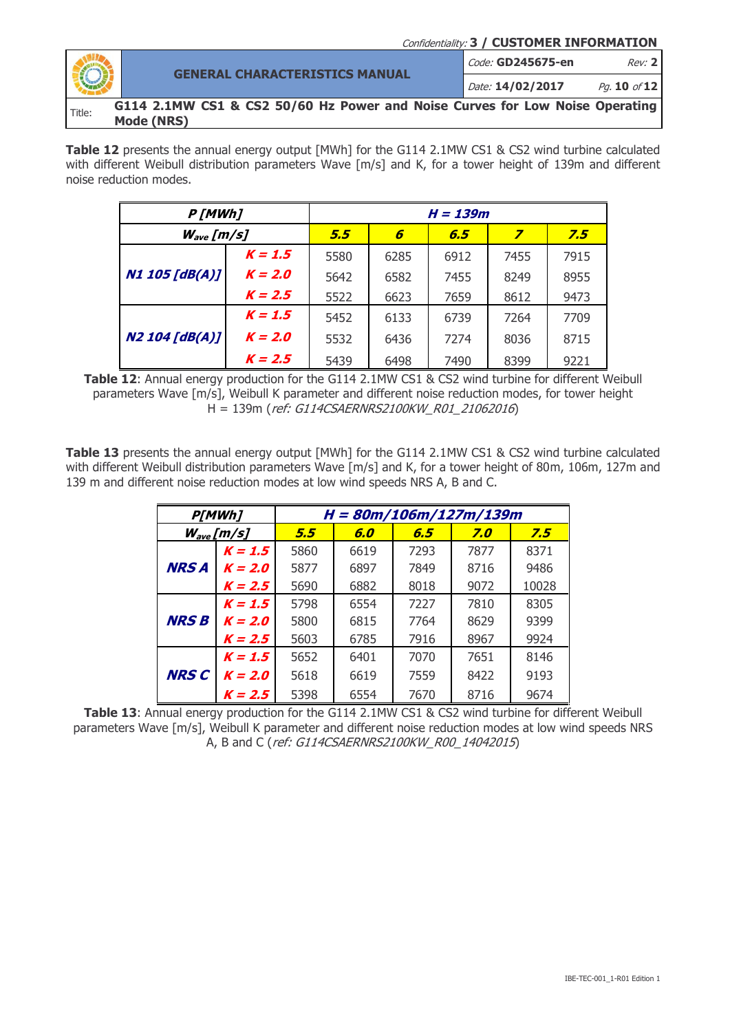|        |                                                                                            | Confidentiality: 3 / CUSTOMER INFORMATION |
|--------|--------------------------------------------------------------------------------------------|-------------------------------------------|
|        | <b>GENERAL CHARACTERISTICS MANUAL</b>                                                      | Code: GD245675-en<br>Rev: 2               |
|        |                                                                                            | Date: 14/02/2017<br>Pg. 10 of 12          |
| Title: | G114 2.1MW CS1 & CS2 50/60 Hz Power and Noise Curves for Low Noise Operating<br>Mode (NRS) |                                           |

Table 12 presents the annual energy output [MWh] for the G114 2.1MW CS1 & CS2 wind turbine calculated with different Weibull distribution parameters Wave [m/s] and K, for a tower height of 139m and different noise reduction modes.

| P[MWh]                |           | H = 139m |      |      |      |      |  |
|-----------------------|-----------|----------|------|------|------|------|--|
| $W_{ave}[m/s]$        |           | 5.5      | 6    | 6.5  | 7    | 7.5  |  |
| <b>N1 105 [dB(A)]</b> | $K = 1.5$ | 5580     | 6285 | 6912 | 7455 | 7915 |  |
|                       | $K = 2.0$ | 5642     | 6582 | 7455 | 8249 | 8955 |  |
|                       | $K = 2.5$ | 5522     | 6623 | 7659 | 8612 | 9473 |  |
|                       | $K = 1.5$ | 5452     | 6133 | 6739 | 7264 | 7709 |  |
| <b>N2 104 [dB(A)]</b> | $K = 2.0$ | 5532     | 6436 | 7274 | 8036 | 8715 |  |
|                       | $K = 2.5$ | 5439     | 6498 | 7490 | 8399 | 9221 |  |

Table 12: Annual energy production for the G114 2.1MW CS1 & CS2 wind turbine for different Weibull parameters Wave [m/s], Weibull K parameter and different noise reduction modes, for tower height H = 139m (ref: G114CSAERNRS2100KW\_R01\_21062016)

**Table 13** presents the annual energy output [MWh] for the G114 2.1MW CS1 & CS2 wind turbine calculated with different Weibull distribution parameters Wave [m/s] and K, for a tower height of 80m, 106m, 127m and 139 m and different noise reduction modes at low wind speeds NRS A, B and C.

|              | <b>P[MWh]</b>  | H = 80m/106m/127m/139m |      |      |        |       |  |  |
|--------------|----------------|------------------------|------|------|--------|-------|--|--|
|              | $W_{ave}[m/s]$ | 5.5                    | 6.0  | 6.5  | $Z$ .0 | 7.5   |  |  |
|              | $K = 1.5$      | 5860                   | 6619 | 7293 | 7877   | 8371  |  |  |
| <b>NRS A</b> | $K = 2.0$      | 5877                   | 6897 | 7849 | 8716   | 9486  |  |  |
|              | $K = 2.5$      | 5690                   | 6882 | 8018 | 9072   | 10028 |  |  |
|              | $K = 1.5$      | 5798                   | 6554 | 7227 | 7810   | 8305  |  |  |
| <b>NRS B</b> | $K = 2.0$      | 5800                   | 6815 | 7764 | 8629   | 9399  |  |  |
|              | $K = 2.5$      | 5603                   | 6785 | 7916 | 8967   | 9924  |  |  |
|              | $K = 1.5$      | 5652                   | 6401 | 7070 | 7651   | 8146  |  |  |
| <b>NRS C</b> | $K = 2.0$      | 5618                   | 6619 | 7559 | 8422   | 9193  |  |  |
|              | $K = 2.5$      | 5398                   | 6554 | 7670 | 8716   | 9674  |  |  |

**Table 13**: Annual energy production for the G114 2.1MW CS1 & CS2 wind turbine for different Weibull parameters Wave [m/s], Weibull K parameter and different noise reduction modes at low wind speeds NRS A, B and C (ref: G114CSAERNRS2100KW\_R00\_14042015)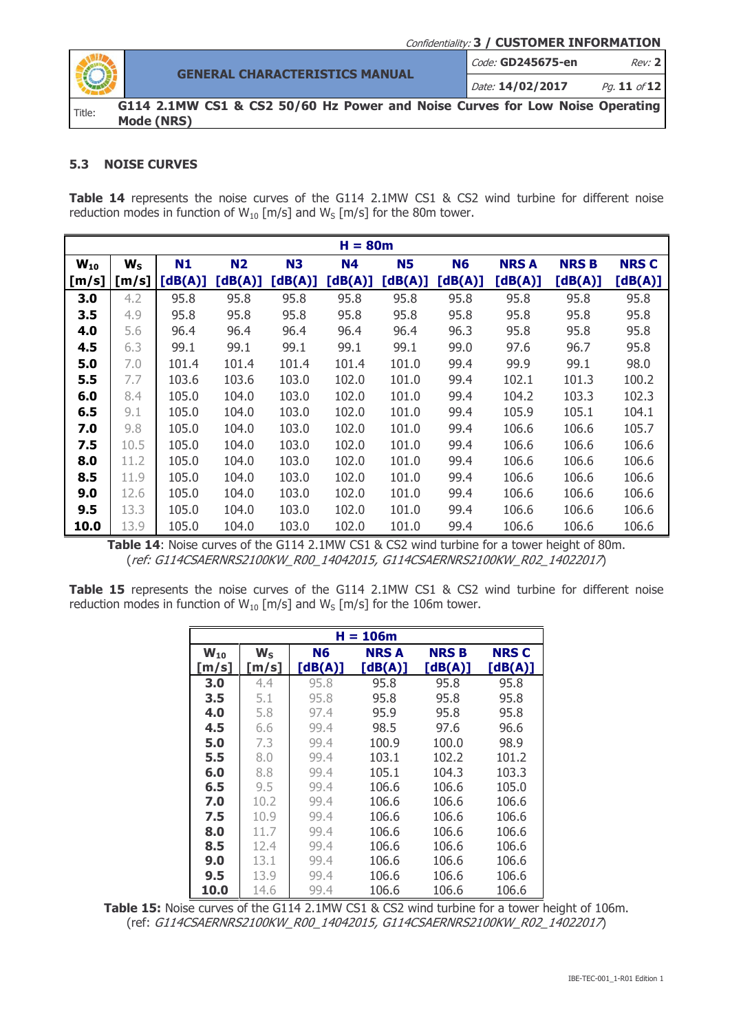

**GENERAL CHARACTERISTICS MANUAL** Code: **GD245675-en** Rev: **2** Date: **14/02/2017** Pg. **11** of **12**

**G114 2.1MW CS1 & CS2 50/60 Hz Power and Noise Curves for Low Noise Operating Mode (NRS)**

### <span id="page-10-0"></span>**5.3 NOISE CURVES**

Table 14 represents the noise curves of the G114 2.1MW CS1 & CS2 wind turbine for different noise reduction modes in function of  $W_{10}$  [m/s] and  $W_5$  [m/s] for the 80m tower.

| $H = 80m$ |         |         |           |           |           |           |           |             |             |             |
|-----------|---------|---------|-----------|-----------|-----------|-----------|-----------|-------------|-------------|-------------|
| $W_{10}$  | $W_{S}$ | N1      | <b>N2</b> | <b>N3</b> | <b>N4</b> | <b>N5</b> | <b>N6</b> | <b>NRSA</b> | <b>NRSB</b> | <b>NRSC</b> |
| [m/s]     | [m/s]   | [dB(A)] | [dB(A)]   | [dB(A)]   | [dB(A)]   | [dB(A)]   | [dB(A)]   | [dB(A)]     | [dB(A)]     | [dB(A)]     |
| 3.0       | 4.2     | 95.8    | 95.8      | 95.8      | 95.8      | 95.8      | 95.8      | 95.8        | 95.8        | 95.8        |
| 3.5       | 4.9     | 95.8    | 95.8      | 95.8      | 95.8      | 95.8      | 95.8      | 95.8        | 95.8        | 95.8        |
| 4.0       | 5.6     | 96.4    | 96.4      | 96.4      | 96.4      | 96.4      | 96.3      | 95.8        | 95.8        | 95.8        |
| 4.5       | 6.3     | 99.1    | 99.1      | 99.1      | 99.1      | 99.1      | 99.0      | 97.6        | 96.7        | 95.8        |
| 5.0       | 7.0     | 101.4   | 101.4     | 101.4     | 101.4     | 101.0     | 99.4      | 99.9        | 99.1        | 98.0        |
| 5.5       | 7.7     | 103.6   | 103.6     | 103.0     | 102.0     | 101.0     | 99.4      | 102.1       | 101.3       | 100.2       |
| 6.0       | 8.4     | 105.0   | 104.0     | 103.0     | 102.0     | 101.0     | 99.4      | 104.2       | 103.3       | 102.3       |
| 6.5       | 9.1     | 105.0   | 104.0     | 103.0     | 102.0     | 101.0     | 99.4      | 105.9       | 105.1       | 104.1       |
| 7.0       | 9.8     | 105.0   | 104.0     | 103.0     | 102.0     | 101.0     | 99.4      | 106.6       | 106.6       | 105.7       |
| 7.5       | 10.5    | 105.0   | 104.0     | 103.0     | 102.0     | 101.0     | 99.4      | 106.6       | 106.6       | 106.6       |
| 8.0       | 11.2    | 105.0   | 104.0     | 103.0     | 102.0     | 101.0     | 99.4      | 106.6       | 106.6       | 106.6       |
| 8.5       | 11.9    | 105.0   | 104.0     | 103.0     | 102.0     | 101.0     | 99.4      | 106.6       | 106.6       | 106.6       |
| 9.0       | 12.6    | 105.0   | 104.0     | 103.0     | 102.0     | 101.0     | 99.4      | 106.6       | 106.6       | 106.6       |
| 9.5       | 13.3    | 105.0   | 104.0     | 103.0     | 102.0     | 101.0     | 99.4      | 106.6       | 106.6       | 106.6       |
| 10.0      | 13.9    | 105.0   | 104.0     | 103.0     | 102.0     | 101.0     | 99.4      | 106.6       | 106.6       | 106.6       |

Table 14: Noise curves of the G114 2.1MW CS1 & CS2 wind turbine for a tower height of 80m. (ref: G114CSAERNRS2100KW\_R00\_14042015, G114CSAERNRS2100KW\_R02\_14022017)

Table 15 represents the noise curves of the G114 2.1MW CS1 & CS2 wind turbine for different noise reduction modes in function of  $W_{10}$  [m/s] and  $W_S$  [m/s] for the 106m tower.

| $H = 106m$                 |       |         |             |             |              |  |  |  |  |
|----------------------------|-------|---------|-------------|-------------|--------------|--|--|--|--|
| $\mathbf{W}_{\mathbf{10}}$ | $W_S$ | N6      | <b>NRSA</b> | <b>NRSB</b> | <b>NRS C</b> |  |  |  |  |
| [m/s]                      | [m/s] | [dB(A)] | [dB(A)]     | [dB(A)]     | [dB(A)]      |  |  |  |  |
| 3.0                        | 4.4   | 95.8    | 95.8        | 95.8        | 95.8         |  |  |  |  |
| 3.5                        | 5.1   | 95.8    | 95.8        | 95.8        | 95.8         |  |  |  |  |
| 4.0                        | 5.8   | 97.4    | 95.9        | 95.8        | 95.8         |  |  |  |  |
| 4.5                        | 6.6   | 99.4    | 98.5        | 97.6        | 96.6         |  |  |  |  |
| 5.0                        | 7.3   | 99.4    | 100.9       | 100.0       | 98.9         |  |  |  |  |
| 5.5                        | 8.0   | 99.4    | 103.1       | 102.2       | 101.2        |  |  |  |  |
| 6.0                        | 8.8   | 99.4    | 105.1       | 104.3       | 103.3        |  |  |  |  |
| 6.5                        | 9.5   | 99.4    | 106.6       | 106.6       | 105.0        |  |  |  |  |
| 7.0                        | 10.2  | 99.4    | 106.6       | 106.6       | 106.6        |  |  |  |  |
| 7.5                        | 10.9  | 99.4    | 106.6       | 106.6       | 106.6        |  |  |  |  |
| 8.0                        | 11.7  | 99.4    | 106.6       | 106.6       | 106.6        |  |  |  |  |
| 8.5                        | 12.4  | 99.4    | 106.6       | 106.6       | 106.6        |  |  |  |  |
| 9.0                        | 13.1  | 99.4    | 106.6       | 106.6       | 106.6        |  |  |  |  |
| 9.5                        | 13.9  | 99.4    | 106.6       | 106.6       | 106.6        |  |  |  |  |
| 10.0                       | 14.6  | 99.4    | 106.6       | 106.6       | 106.6        |  |  |  |  |

**Table 15:** Noise curves of the G114 2.1MW CS1 & CS2 wind turbine for a tower height of 106m. (ref: G114CSAERNRS2100KW\_R00\_14042015, G114CSAERNRS2100KW\_R02\_14022017)